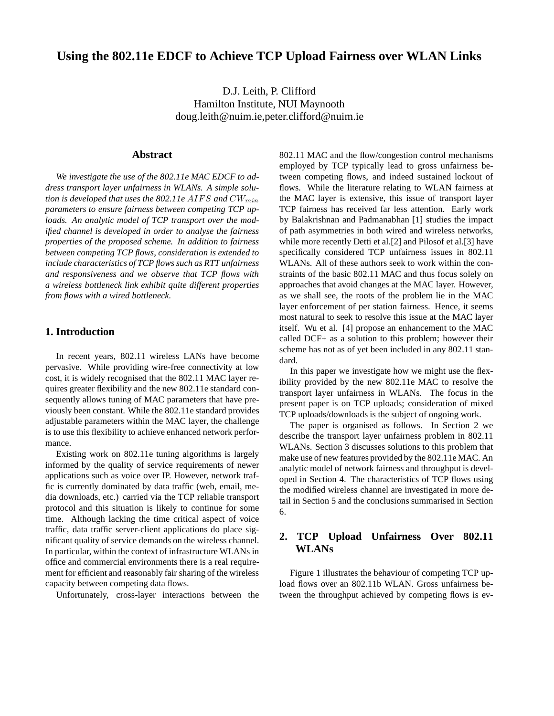# **Using the 802.11e EDCF to Achieve TCP Upload Fairness over WLAN Links**

D.J. Leith, P. Clifford Hamilton Institute, NUI Maynooth doug.leith@nuim.ie,peter.clifford@nuim.ie

### **Abstract**

*We investigate the use of the 802.11e MAC EDCF to address transport layer unfairness in WLANs. A simple solution is developed that uses the 802.11e AIFS and*  $CW_{min}$ *parameters to ensure fairness between competing TCP uploads. An analytic model of TCP transport over the modified channel is developed in order to analyse the fairness properties of the proposed scheme. In addition to fairness between competing TCP flows, consideration is extended to include characteristics of TCP flows such as RTT unfairness and responsiveness and we observe that TCP flows with a wireless bottleneck link exhibit quite different properties from flows with a wired bottleneck.*

### **1. Introduction**

In recent years, 802.11 wireless LANs have become pervasive. While providing wire-free connectivity at low cost, it is widely recognised that the 802.11 MAC layer requires greater flexibility and the new 802.11e standard consequently allows tuning of MAC parameters that have previously been constant. While the 802.11e standard provides adjustable parameters within the MAC layer, the challenge is to use this flexibility to achieve enhanced network performance.

Existing work on 802.11e tuning algorithms is largely informed by the quality of service requirements of newer applications such as voice over IP. However, network traffic is currently dominated by data traffic (web, email, media downloads, etc.) carried via the TCP reliable transport protocol and this situation is likely to continue for some time. Although lacking the time critical aspect of voice traffic, data traffic server-client applications do place significant quality of service demands on the wireless channel. In particular, within the context of infrastructure WLANs in office and commercial environments there is a real requirement for efficient and reasonably fair sharing of the wireless capacity between competing data flows.

Unfortunately, cross-layer interactions between the

802.11 MAC and the flow/congestion control mechanisms employed by TCP typically lead to gross unfairness between competing flows, and indeed sustained lockout of flows. While the literature relating to WLAN fairness at the MAC layer is extensive, this issue of transport layer TCP fairness has received far less attention. Early work by Balakrishnan and Padmanabhan [1] studies the impact of path asymmetries in both wired and wireless networks, while more recently Detti et al.[2] and Pilosof et al.[3] have specifically considered TCP unfairness issues in 802.11 WLANs. All of these authors seek to work within the constraints of the basic 802.11 MAC and thus focus solely on approaches that avoid changes at the MAC layer. However, as we shall see, the roots of the problem lie in the MAC layer enforcement of per station fairness. Hence, it seems most natural to seek to resolve this issue at the MAC layer itself. Wu et al. [4] propose an enhancement to the MAC called DCF+ as a solution to this problem; however their scheme has not as of yet been included in any 802.11 standard.

In this paper we investigate how we might use the flexibility provided by the new 802.11e MAC to resolve the transport layer unfairness in WLANs. The focus in the present paper is on TCP uploads; consideration of mixed TCP uploads/downloads is the subject of ongoing work.

The paper is organised as follows. In Section 2 we describe the transport layer unfairness problem in 802.11 WLANs. Section 3 discusses solutions to this problem that make use of new features provided by the 802.11e MAC. An analytic model of network fairness and throughput is developed in Section 4. The characteristics of TCP flows using the modified wireless channel are investigated in more detail in Section 5 and the conclusions summarised in Section 6.

## **2. TCP Upload Unfairness Over 802.11 WLANs**

Figure 1 illustrates the behaviour of competing TCP upload flows over an 802.11b WLAN. Gross unfairness between the throughput achieved by competing flows is ev-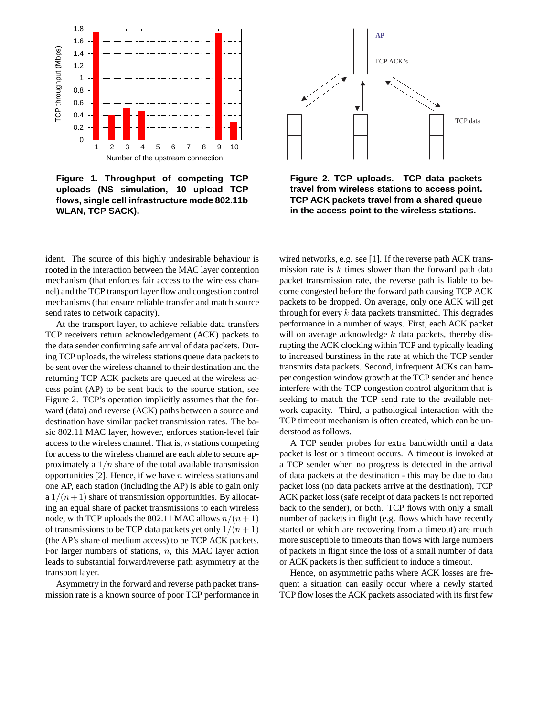

**Figure 1. Throughput of competing TCP uploads (NS simulation, 10 upload TCP flows, single cell infrastructure mode 802.11b WLAN, TCP SACK).**

ident. The source of this highly undesirable behaviour is rooted in the interaction between the MAC layer contention mechanism (that enforces fair access to the wireless channel) and the TCP transport layer flow and congestion control mechanisms (that ensure reliable transfer and match source send rates to network capacity).

At the transport layer, to achieve reliable data transfers TCP receivers return acknowledgement (ACK) packets to the data sender confirming safe arrival of data packets. During TCP uploads, the wireless stations queue data packets to be sent over the wireless channel to their destination and the returning TCP ACK packets are queued at the wireless access point (AP) to be sent back to the source station, see Figure 2. TCP's operation implicitly assumes that the forward (data) and reverse (ACK) paths between a source and destination have similar packet transmission rates. The basic 802.11 MAC layer, however, enforces station-level fair access to the wireless channel. That is,  $n$  stations competing for access to the wireless channel are each able to secure approximately a  $1/n$  share of the total available transmission opportunities [2]. Hence, if we have  $n$  wireless stations and one AP, each station (including the AP) is able to gain only a  $1/(n+1)$  share of transmission opportunities. By allocating an equal share of packet transmissions to each wireless node, with TCP uploads the 802.11 MAC allows  $n/(n+1)$ of transmissions to be TCP data packets yet only  $1/(n+1)$ (the AP's share of medium access) to be TCP ACK packets. For larger numbers of stations,  $n$ , this MAC layer action leads to substantial forward/reverse path asymmetry at the transport layer.

Asymmetry in the forward and reverse path packet transmission rate is a known source of poor TCP performance in



**Figure 2. TCP uploads. TCP data packets travel from wireless stations to access point. TCP ACK packets travel from a shared queue in the access point to the wireless stations.**

wired networks, e.g. see [1]. If the reverse path ACK transmission rate is  $k$  times slower than the forward path data packet transmission rate, the reverse path is liable to become congested before the forward path causing TCP ACK packets to be dropped. On average, only one ACK will get through for every  $k$  data packets transmitted. This degrades performance in a number of ways. First, each ACK packet will on average acknowledge  $k$  data packets, thereby disrupting the ACK clocking within TCP and typically leading to increased burstiness in the rate at which the TCP sender transmits data packets. Second, infrequent ACKs can hamper congestion window growth at the TCP sender and hence interfere with the TCP congestion control algorithm that is seeking to match the TCP send rate to the available network capacity. Third, a pathological interaction with the TCP timeout mechanism is often created, which can be understood as follows.

A TCP sender probes for extra bandwidth until a data packet is lost or a timeout occurs. A timeout is invoked at a TCP sender when no progress is detected in the arrival of data packets at the destination - this may be due to data packet loss (no data packets arrive at the destination), TCP ACK packet loss (safe receipt of data packets is not reported back to the sender), or both. TCP flows with only a small number of packets in flight (e.g. flows which have recently started or which are recovering from a timeout) are much more susceptible to timeouts than flows with large numbers of packets in flight since the loss of a small number of data or ACK packets is then sufficient to induce a timeout.

Hence, on asymmetric paths where ACK losses are frequent a situation can easily occur where a newly started TCP flow loses the ACK packets associated with its first few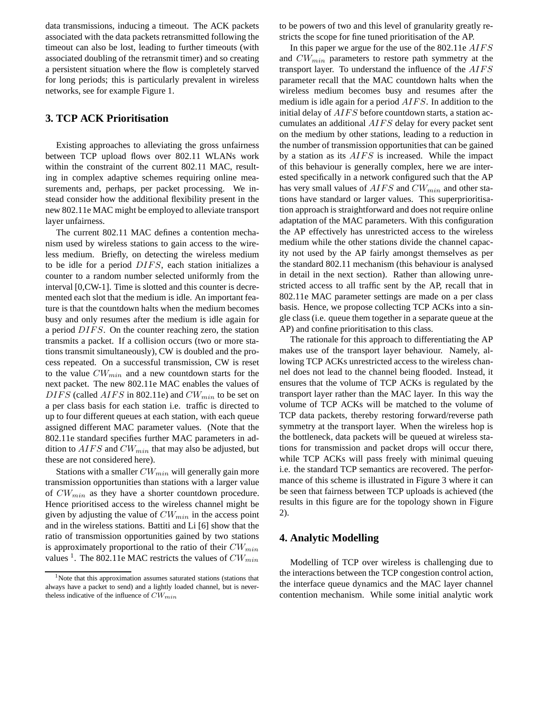data transmissions, inducing a timeout. The ACK packets associated with the data packets retransmitted following the timeout can also be lost, leading to further timeouts (with associated doubling of the retransmit timer) and so creating a persistent situation where the flow is completely starved for long periods; this is particularly prevalent in wireless networks, see for example Figure 1.

### **3. TCP ACK Prioritisation**

Existing approaches to alleviating the gross unfairness between TCP upload flows over 802.11 WLANs work within the constraint of the current 802.11 MAC, resulting in complex adaptive schemes requiring online measurements and, perhaps, per packet processing. We instead consider how the additional flexibility present in the new 802.11e MAC might be employed to alleviate transport layer unfairness.

The current 802.11 MAC defines a contention mechanism used by wireless stations to gain access to the wireless medium. Briefly, on detecting the wireless medium to be idle for a period DIFS, each station initializes a counter to a random number selected uniformly from the interval [0,CW-1]. Time is slotted and this counter is decremented each slot that the medium is idle. An important feature is that the countdown halts when the medium becomes busy and only resumes after the medium is idle again for a period DIFS. On the counter reaching zero, the station transmits a packet. If a collision occurs (two or more stations transmit simultaneously), CW is doubled and the process repeated. On a successful transmission, CW is reset to the value  $CW_{min}$  and a new countdown starts for the next packet. The new 802.11e MAC enables the values of  $DIFS$  (called  $AIFS$  in 802.11e) and  $CW_{min}$  to be set on a per class basis for each station i.e. traffic is directed to up to four different queues at each station, with each queue assigned different MAC parameter values. (Note that the 802.11e standard specifies further MAC parameters in addition to  $AIFS$  and  $CW_{min}$  that may also be adjusted, but these are not considered here).

Stations with a smaller  $CW_{min}$  will generally gain more transmission opportunities than stations with a larger value of  $CW_{min}$  as they have a shorter countdown procedure. Hence prioritised access to the wireless channel might be given by adjusting the value of  $CW_{min}$  in the access point and in the wireless stations. Battiti and Li [6] show that the ratio of transmission opportunities gained by two stations is approximately proportional to the ratio of their  $CW_{min}$ values <sup>1</sup>. The 802.11e MAC restricts the values of  $CW_{min}$ 

to be powers of two and this level of granularity greatly restricts the scope for fine tuned prioritisation of the AP.

In this paper we argue for the use of the 802.11e AIFS and  $CW_{min}$  parameters to restore path symmetry at the transport layer. To understand the influence of the  $AIFS$ parameter recall that the MAC countdown halts when the wireless medium becomes busy and resumes after the medium is idle again for a period *AIFS*. In addition to the initial delay of  $AIFS$  before countdown starts, a station accumulates an additional  $AIFS$  delay for every packet sent on the medium by other stations, leading to a reduction in the number of transmission opportunities that can be gained by a station as its  $AIFS$  is increased. While the impact of this behaviour is generally complex, here we are interested specifically in a network configured such that the AP has very small values of  $AIFS$  and  $CW_{min}$  and other stations have standard or larger values. This superprioritisation approach is straightforward and does not require online adaptation of the MAC parameters. With this configuration the AP effectively has unrestricted access to the wireless medium while the other stations divide the channel capacity not used by the AP fairly amongst themselves as per the standard 802.11 mechanism (this behaviour is analysed in detail in the next section). Rather than allowing unrestricted access to all traffic sent by the AP, recall that in 802.11e MAC parameter settings are made on a per class basis. Hence, we propose collecting TCP ACKs into a single class (i.e. queue them together in a separate queue at the AP) and confine prioritisation to this class.

The rationale for this approach to differentiating the AP makes use of the transport layer behaviour. Namely, allowing TCP ACKs unrestricted access to the wireless channel does not lead to the channel being flooded. Instead, it ensures that the volume of TCP ACKs is regulated by the transport layer rather than the MAC layer. In this way the volume of TCP ACKs will be matched to the volume of TCP data packets, thereby restoring forward/reverse path symmetry at the transport layer. When the wireless hop is the bottleneck, data packets will be queued at wireless stations for transmission and packet drops will occur there, while TCP ACKs will pass freely with minimal queuing i.e. the standard TCP semantics are recovered. The performance of this scheme is illustrated in Figure 3 where it can be seen that fairness between TCP uploads is achieved (the results in this figure are for the topology shown in Figure 2).

### **4. Analytic Modelling**

Modelling of TCP over wireless is challenging due to the interactions between the TCP congestion control action, the interface queue dynamics and the MAC layer channel contention mechanism. While some initial analytic work

<sup>&</sup>lt;sup>1</sup>Note that this approximation assumes saturated stations (stations that always have a packet to send) and a lightly loaded channel, but is nevertheless indicative of the influence of  $CW_{min}$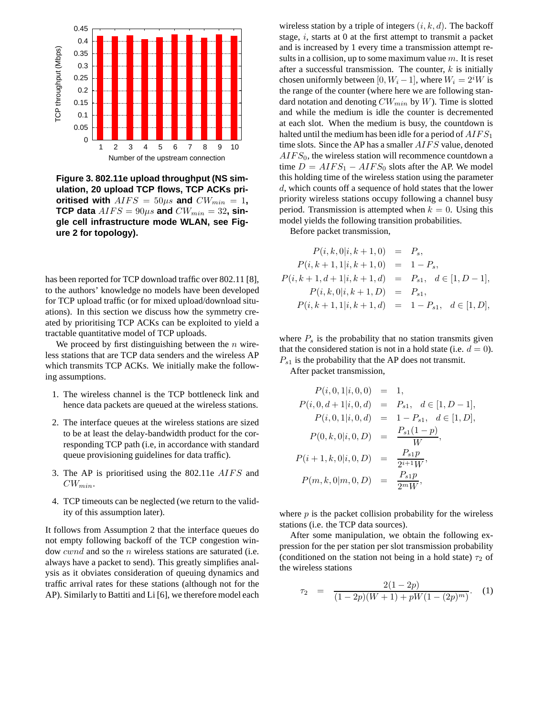

**Figure 3. 802.11e upload throughput (NS simulation, 20 upload TCP flows, TCP ACKs prioritised with**  $AIFS = 50\mu s$  and  $CW_{min} = 1$ , **TCP data**  $AIFS = 90\mu s$  and  $CW_{min} = 32$ , sin**gle cell infrastructure mode WLAN, see Figure 2 for topology).**

has been reported for TCP download traffic over 802.11 [8], to the authors' knowledge no models have been developed for TCP upload traffic (or for mixed upload/download situations). In this section we discuss how the symmetry created by prioritising TCP ACKs can be exploited to yield a tractable quantitative model of TCP uploads.

We proceed by first distinguishing between the  $n$  wireless stations that are TCP data senders and the wireless AP which transmits TCP ACKs. We initially make the following assumptions.

- 1. The wireless channel is the TCP bottleneck link and hence data packets are queued at the wireless stations.
- 2. The interface queues at the wireless stations are sized to be at least the delay-bandwidth product for the corresponding TCP path (i.e, in accordance with standard queue provisioning guidelines for data traffic).
- 3. The AP is prioritised using the  $802.11e$   $AIFS$  and  $CW_{min}$ .
- 4. TCP timeouts can be neglected (we return to the validity of this assumption later).

It follows from Assumption 2 that the interface queues do not empty following backoff of the TCP congestion window *cwnd* and so the *n* wireless stations are saturated (i.e. always have a packet to send). This greatly simplifies analysis as it obviates consideration of queuing dynamics and traffic arrival rates for these stations (although not for the AP). Similarly to Battiti and Li [6], we therefore model each wireless station by a triple of integers  $(i, k, d)$ . The backoff stage,  $i$ , starts at 0 at the first attempt to transmit a packet and is increased by 1 every time a transmission attempt results in a collision, up to some maximum value  $m$ . It is reset after a successful transmission. The counter,  $k$  is initially chosen uniformly between [0,  $W_i - 1$ ], where  $W_i = 2^i W$  is the range of the counter (where here we are following standard notation and denoting  $CW_{min}$  by W). Time is slotted and while the medium is idle the counter is decremented at each slot. When the medium is busy, the countdown is halted until the medium has been idle for a period of  $AIFS_1$ time slots. Since the AP has a smaller  $AIFS$  value, denoted  $AIFS_0$ , the wireless station will recommence countdown a time  $D = AIFS_1 - AIFS_0$  slots after the AP. We model this holding time of the wireless station using the parameter d, which counts off a sequence of hold states that the lower priority wireless stations occupy following a channel busy period. Transmission is attempted when  $k = 0$ . Using this model yields the following transition probabilities.

Before packet transmission,

$$
P(i, k, 0|i, k+1, 0) = P_s,
$$
  
\n
$$
P(i, k+1, 1|i, k+1, 0) = 1 - P_s,
$$
  
\n
$$
P(i, k+1, d+1|i, k+1, d) = P_{s1}, d \in [1, D-1],
$$
  
\n
$$
P(i, k, 0|i, k+1, D) = P_{s1},
$$
  
\n
$$
P(i, k+1, 1|i, k+1, d) = 1 - P_{s1}, d \in [1, D],
$$

where  $P_s$  is the probability that no station transmits given that the considered station is not in a hold state (i.e.  $d = 0$ ).  $P_{s1}$  is the probability that the AP does not transmit.

After packet transmission,

$$
P(i, 0, 1|i, 0, 0) = 1,
$$
  
\n
$$
P(i, 0, d + 1|i, 0, d) = P_{s1}, d \in [1, D - 1],
$$
  
\n
$$
P(i, 0, 1|i, 0, d) = 1 - P_{s1}, d \in [1, D],
$$
  
\n
$$
P(0, k, 0|i, 0, D) = \frac{P_{s1}(1-p)}{W},
$$
  
\n
$$
P(i + 1, k, 0|i, 0, D) = \frac{P_{s1}p}{2^{i+1}W},
$$
  
\n
$$
P(m, k, 0|m, 0, D) = \frac{P_{s1}p}{2^mW},
$$

where  $p$  is the packet collision probability for the wireless stations (i.e. the TCP data sources).

After some manipulation, we obtain the following expression for the per station per slot transmission probability (conditioned on the station not being in a hold state)  $\tau_2$  of the wireless stations

$$
\tau_2 = \frac{2(1-2p)}{(1-2p)(W+1) + pW(1-(2p)^m)}.
$$
 (1)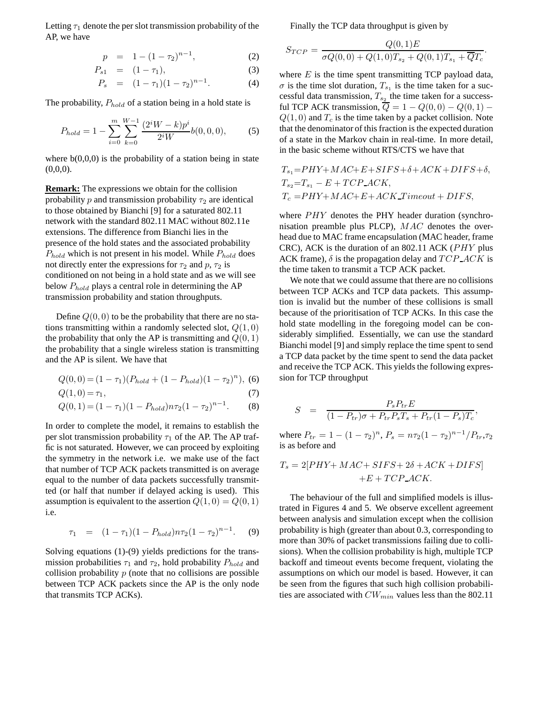Letting  $\tau_1$  denote the per slot transmission probability of the AP, we have

$$
p = 1 - (1 - \tau_2)^{n-1}, \tag{2}
$$

$$
P_{s1} = (1 - \tau_1), \tag{3}
$$

$$
P_s = (1 - \tau_1)(1 - \tau_2)^{n-1}.
$$
 (4)

The probability,  $P_{hold}$  of a station being in a hold state is

$$
P_{hold} = 1 - \sum_{i=0}^{m} \sum_{k=0}^{W-1} \frac{(2^i W - k)p^i}{2^i W} b(0, 0, 0),
$$
 (5)

where  $b(0,0,0)$  is the probability of a station being in state  $(0,0,0)$ .

**Remark:** The expressions we obtain for the collision probability p and transmission probability  $\tau_2$  are identical to those obtained by Bianchi [9] for a saturated 802.11 network with the standard 802.11 MAC without 802.11e extensions. The difference from Bianchi lies in the presence of the hold states and the associated probability  $P_{hold}$  which is not present in his model. While  $P_{hold}$  does not directly enter the expressions for  $\tau_2$  and  $p$ ,  $\tau_2$  is conditioned on not being in a hold state and as we will see below  $P_{hold}$  plays a central role in determining the AP transmission probability and station throughputs.

Define  $Q(0, 0)$  to be the probability that there are no stations transmitting within a randomly selected slot,  $Q(1,0)$ the probability that only the AP is transmitting and  $Q(0, 1)$ the probability that a single wireless station is transmitting and the AP is silent. We have that

$$
Q(0,0) = (1 - \tau_1)(P_{hold} + (1 - P_{hold})(1 - \tau_2)^n),
$$
 (6)

$$
Q(1,0) = \tau_1,\tag{7}
$$

$$
Q(0, 1) = (1 - \tau_1)(1 - P_{hold})n\tau_2(1 - \tau_2)^{n-1}.
$$
 (8)

In order to complete the model, it remains to establish the per slot transmission probability  $\tau_1$  of the AP. The AP traffic is not saturated. However, we can proceed by exploiting the symmetry in the network i.e. we make use of the fact that number of TCP ACK packets transmitted is on average equal to the number of data packets successfully transmitted (or half that number if delayed acking is used). This assumption is equivalent to the assertion  $Q(1, 0) = Q(0, 1)$ i.e.

$$
\tau_1 = (1 - \tau_1)(1 - P_{hold})n\tau_2(1 - \tau_2)^{n-1}.
$$
 (9)

Solving equations (1)-(9) yields predictions for the transmission probabilities  $\tau_1$  and  $\tau_2$ , hold probability  $P_{hold}$  and collision probability  $p$  (note that no collisions are possible between TCP ACK packets since the AP is the only node that transmits TCP ACKs).

Finally the TCP data throughput is given by

$$
S_{TCP} = \frac{Q(0,1)E}{\sigma Q(0,0) + Q(1,0)T_{s_2} + Q(0,1)T_{s_1} + \overline{Q}T_c}.
$$

where  $E$  is the time spent transmitting TCP payload data,  $\sigma$  is the time slot duration,  $T_{s_1}$  is the time taken for a successful data transmission,  $T_{s_2}$  the time taken for a successful TCP ACK transmission,  $\overline{Q} = 1 - Q(0,0) - Q(0,1) Q(1, 0)$  and  $T_c$  is the time taken by a packet collision. Note that the denominator of this fraction is the expected duration of a state in the Markov chain in real-time. In more detail, in the basic scheme without RTS/CTS we have that

$$
T_{s_1} = PHY + MAC + E + SIFS + \delta + ACK + DIFS + \delta,
$$
  
\n
$$
T_{s_2} = T_{s_1} - E + TCP \_ACK,
$$
  
\n
$$
T_c = PHY + MAC + E + ACK \_T \_ \end{math}
$$

where  $PHY$  denotes the PHY header duration (synchronisation preamble plus PLCP),  $MAC$  denotes the overhead due to MAC frame encapsulation (MAC header, frame CRC), ACK is the duration of an  $802.11$  ACK ( $PHY$  plus ACK frame),  $\delta$  is the propagation delay and  $TCP\_ACK$  is the time taken to transmit a TCP ACK packet.

We note that we could assume that there are no collisions between TCP ACKs and TCP data packets. This assumption is invalid but the number of these collisions is small because of the prioritisation of TCP ACKs. In this case the hold state modelling in the foregoing model can be considerably simplified. Essentially, we can use the standard Bianchi model [9] and simply replace the time spent to send a TCP data packet by the time spent to send the data packet and receive the TCP ACK. This yields the following expression for TCP throughput

$$
S = \frac{P_s P_{tr} E}{(1 - P_{tr})\sigma + P_{tr} P_s T_s + P_{tr} (1 - P_s) T_c},
$$

where  $P_{tr} = 1 - (1 - \tau_2)^n$ ,  $P_s = n \tau_2 (1 - \tau_2)^{n-1} / P_{tr}$ ,  $\tau_2$ is as before and

$$
T_s = 2[PHY + MAC + SIFS + 2\delta + ACK + DIFS]
$$
  
+E + TCP\\_ACK.

The behaviour of the full and simplified models is illustrated in Figures 4 and 5. We observe excellent agreement between analysis and simulation except when the collision probability is high (greater than about 0.3, corresponding to more than 30% of packet transmissions failing due to collisions). When the collision probability is high, multiple TCP backoff and timeout events become frequent, violating the assumptions on which our model is based. However, it can be seen from the figures that such high collision probabilities are associated with  $CW_{min}$  values less than the 802.11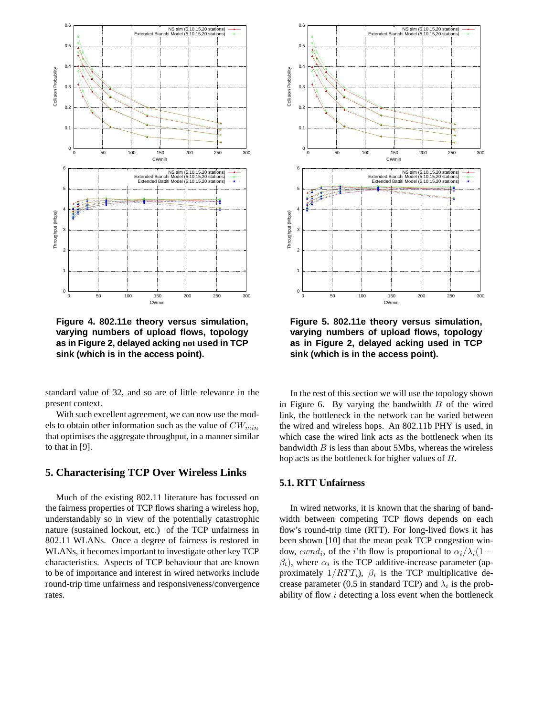

**Figure 4. 802.11e theory versus simulation, varying numbers of upload flows, topology as in Figure 2, delayed acking not used in TCP sink (which is in the access point).**

standard value of 32, and so are of little relevance in the present context.

With such excellent agreement, we can now use the models to obtain other information such as the value of  $CW_{min}$ that optimises the aggregate throughput, in a manner similar to that in [9].

### **5. Characterising TCP Over Wireless Links**

Much of the existing 802.11 literature has focussed on the fairness properties of TCP flows sharing a wireless hop, understandably so in view of the potentially catastrophic nature (sustained lockout, etc.) of the TCP unfairness in 802.11 WLANs. Once a degree of fairness is restored in WLANs, it becomes important to investigate other key TCP characteristics. Aspects of TCP behaviour that are known to be of importance and interest in wired networks include round-trip time unfairness and responsiveness/convergence rates.



**Figure 5. 802.11e theory versus simulation, varying numbers of upload flows, topology as in Figure 2, delayed acking used in TCP sink (which is in the access point).**

In the rest of this section we will use the topology shown in Figure 6. By varying the bandwidth  $B$  of the wired link, the bottleneck in the network can be varied between the wired and wireless hops. An 802.11b PHY is used, in which case the wired link acts as the bottleneck when its bandwidth  $B$  is less than about 5Mbs, whereas the wireless hop acts as the bottleneck for higher values of B.

### **5.1. RTT Unfairness**

In wired networks, it is known that the sharing of bandwidth between competing TCP flows depends on each flow's round-trip time (RTT). For long-lived flows it has been shown [10] that the mean peak TCP congestion window,  $cwnd_i$ , of the *i*'th flow is proportional to  $\alpha_i/\lambda_i(1 \beta_i$ ), where  $\alpha_i$  is the TCP additive-increase parameter (approximately  $1/RTT_i$ ),  $\beta_i$  is the TCP multiplicative decrease parameter (0.5 in standard TCP) and  $\lambda_i$  is the probability of flow  $i$  detecting a loss event when the bottleneck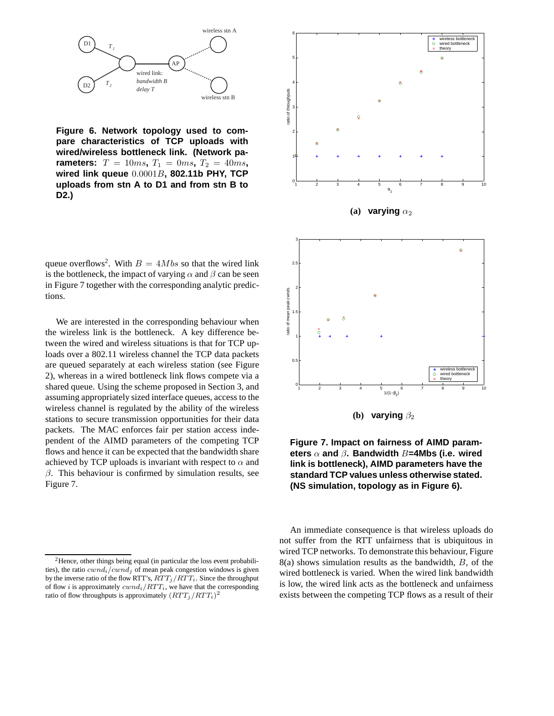

**Figure 6. Network topology used to compare characteristics of TCP uploads with wired/wireless bottleneck link. (Network parameters:**  $T = 10ms, T_1 = 0ms, T_2 = 40ms,$ **wired link queue** 0.0001B**, 802.11b PHY, TCP uploads from stn A to D1 and from stn B to D2.)**

queue overflows<sup>2</sup>. With  $B = 4Mbs$  so that the wired link is the bottleneck, the impact of varying  $\alpha$  and  $\beta$  can be seen in Figure 7 together with the corresponding analytic predictions.

We are interested in the corresponding behaviour when the wireless link is the bottleneck. A key difference between the wired and wireless situations is that for TCP uploads over a 802.11 wireless channel the TCP data packets are queued separately at each wireless station (see Figure 2), whereas in a wired bottleneck link flows compete via a shared queue. Using the scheme proposed in Section 3, and assuming appropriately sized interface queues, access to the wireless channel is regulated by the ability of the wireless stations to secure transmission opportunities for their data packets. The MAC enforces fair per station access independent of the AIMD parameters of the competing TCP flows and hence it can be expected that the bandwidth share achieved by TCP uploads is invariant with respect to  $\alpha$  and  $\beta$ . This behaviour is confirmed by simulation results, see Figure 7.





An immediate consequence is that wireless uploads do not suffer from the RTT unfairness that is ubiquitous in wired TCP networks. To demonstrate this behaviour, Figure  $8(a)$  shows simulation results as the bandwidth,  $B$ , of the wired bottleneck is varied. When the wired link bandwidth is low, the wired link acts as the bottleneck and unfairness exists between the competing TCP flows as a result of their

 $2$ Hence, other things being equal (in particular the loss event probabilities), the ratio  $cwnd_i/cwnd_j$  of mean peak congestion windows is given by the inverse ratio of the flow RTT's,  $RTT_j/RTT_i$ . Since the throughput of flow i is approximately  $cwnd_i/RTT_i$ , we have that the corresponding ratio of flow throughputs is approximately  $(RTT_j/RTT_i)^2$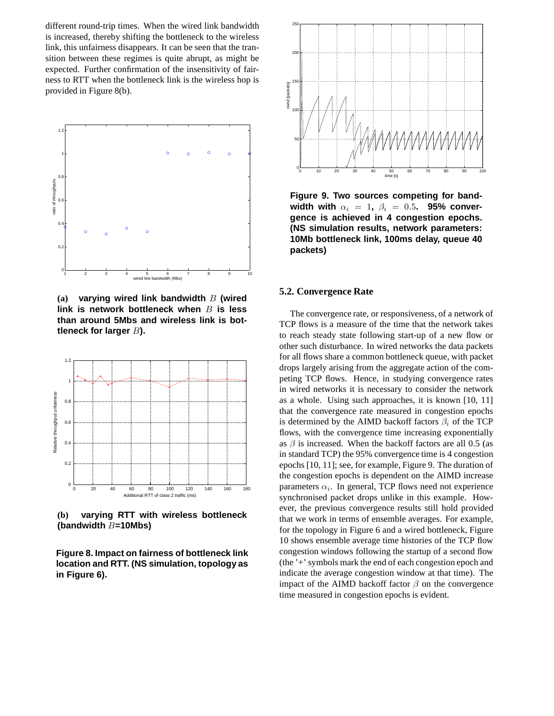different round-trip times. When the wired link bandwidth is increased, thereby shifting the bottleneck to the wireless link, this unfairness disappears. It can be seen that the transition between these regimes is quite abrupt, as might be expected. Further confirmation of the insensitivity of fairness to RTT when the bottleneck link is the wireless hop is provided in Figure 8(b).



**(a) varying wired link bandwidth** B **(wired link is network bottleneck when** B **is less than around 5Mbs and wireless link is bottleneck for larger** B**).**



**(b) varying RTT with wireless bottleneck (bandwidth** B**=10Mbs)**

**Figure 8. Impact on fairness of bottleneck link location and RTT. (NS simulation, topology as in Figure 6).**



**Figure 9. Two sources competing for band**width with  $\alpha_i = 1$ ,  $\beta_i = 0.5$ . 95% conver**gence is achieved in 4 congestion epochs. (NS simulation results, network parameters: 10Mb bottleneck link, 100ms delay, queue 40 packets)**

#### **5.2. Convergence Rate**

The convergence rate, or responsiveness, of a network of TCP flows is a measure of the time that the network takes to reach steady state following start-up of a new flow or other such disturbance. In wired networks the data packets for all flows share a common bottleneck queue, with packet drops largely arising from the aggregate action of the competing TCP flows. Hence, in studying convergence rates in wired networks it is necessary to consider the network as a whole. Using such approaches, it is known [10, 11] that the convergence rate measured in congestion epochs is determined by the AIMD backoff factors  $\beta_i$  of the TCP flows, with the convergence time increasing exponentially as  $\beta$  is increased. When the backoff factors are all 0.5 (as in standard TCP) the 95% convergence time is 4 congestion epochs [10, 11]; see, for example, Figure 9. The duration of the congestion epochs is dependent on the AIMD increase parameters  $\alpha_i$ . In general, TCP flows need not experience synchronised packet drops unlike in this example. However, the previous convergence results still hold provided that we work in terms of ensemble averages. For example, for the topology in Figure 6 and a wired bottleneck, Figure 10 shows ensemble average time histories of the TCP flow congestion windows following the startup of a second flow (the '+' symbols mark the end of each congestion epoch and indicate the average congestion window at that time). The impact of the AIMD backoff factor  $\beta$  on the convergence time measured in congestion epochs is evident.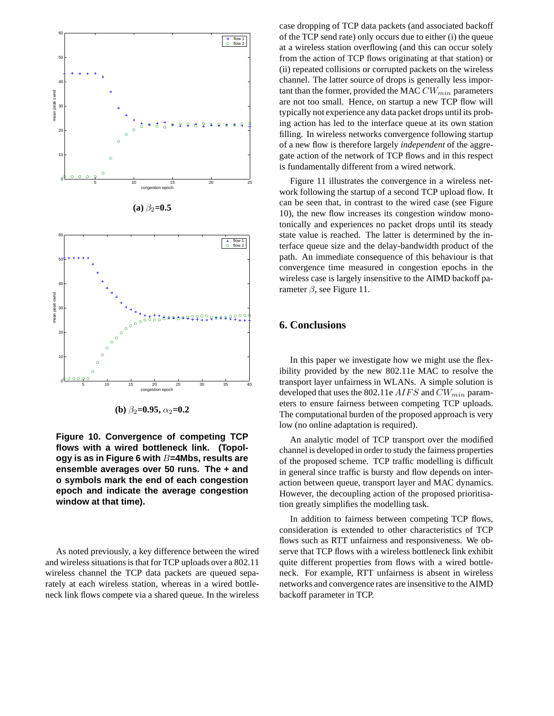

**(b)**  $\beta_2 = 0.95$ ,  $\alpha_2 = 0.2$ 

**Figure 10. Convergence of competing TCP flows with a wired bottleneck link. (Topology is as in Figure 6 with** B**=4Mbs, results are ensemble averages over 50 runs. The + and o symbols mark the end of each congestion epoch and indicate the average congestion window at that time).**

As noted previously, a key difference between the wired and wireless situations is that for TCP uploads over a 802.11 wireless channel the TCP data packets are queued separately at each wireless station, whereas in a wired bottleneck link flows compete via a shared queue. In the wireless case dropping of TCP data packets (and associated backoff of the TCP send rate) only occurs due to either (i) the queue at a wireless station overflowing (and this can occur solely from the action of TCP flows originating at that station) or (ii) repeated collisions or corrupted packets on the wireless channel. The latter source of drops is generally less important than the former, provided the MAC  $CW_{min}$  parameters are not too small. Hence, on startup a new TCP flow will typically not experience any data packet drops until its probing action has led to the interface queue at its own station filling. In wireless networks convergence following startup of a new flow is therefore largely *independent* of the aggregate action of the network of TCP flows and in this respect is fundamentally different from a wired network.

Figure 11 illustrates the convergence in a wireless network following the startup of a second TCP upload flow. It can be seen that, in contrast to the wired case (see Figure 10), the new flow increases its congestion window monotonically and experiences no packet drops until its steady state value is reached. The latter is determined by the interface queue size and the delay-bandwidth product of the path. An immediate consequence of this behaviour is that convergence time measured in congestion epochs in the wireless case is largely insensitive to the AIMD backoff parameter  $β$ , see Figure 11.

### **6. Conclusions**

In this paper we investigate how we might use the flexibility provided by the new 802.11e MAC to resolve the transport layer unfairness in WLANs. A simple solution is developed that uses the 802.11e  $AIFS$  and  $CW_{min}$  parameters to ensure fairness between competing TCP uploads. The computational burden of the proposed approach is very low (no online adaptation is required).

An analytic model of TCP transport over the modified channel is developed in order to study the fairness properties of the proposed scheme. TCP traffic modelling is difficult in general since traffic is bursty and flow depends on interaction between queue, transport layer and MAC dynamics. However, the decoupling action of the proposed prioritisation greatly simplifies the modelling task.

In addition to fairness between competing TCP flows, consideration is extended to other characteristics of TCP flows such as RTT unfairness and responsiveness. We observe that TCP flows with a wireless bottleneck link exhibit quite different properties from flows with a wired bottleneck. For example, RTT unfairness is absent in wireless networks and convergence rates are insensitive to the AIMD backoff parameter in TCP.